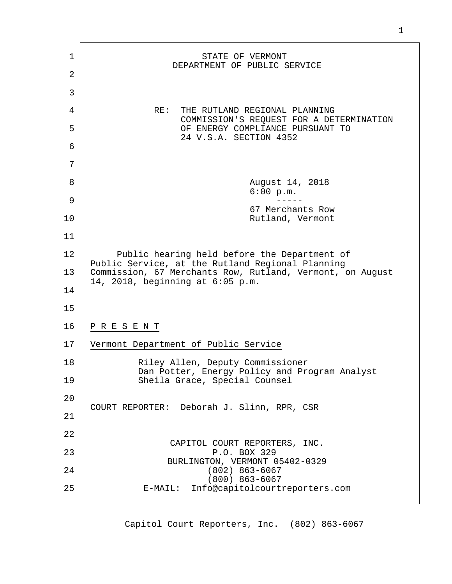| 1  | STATE OF VERMONT<br>DEPARTMENT OF PUBLIC SERVICE                                                              |
|----|---------------------------------------------------------------------------------------------------------------|
| 2  |                                                                                                               |
| 3  |                                                                                                               |
| 4  | RE:<br>THE RUTLAND REGIONAL PLANNING                                                                          |
| 5  | COMMISSION'S REQUEST FOR A DETERMINATION<br>OF ENERGY COMPLIANCE PURSUANT TO                                  |
| 6  | 24 V.S.A. SECTION 4352                                                                                        |
| 7  |                                                                                                               |
|    |                                                                                                               |
| 8  | August 14, 2018<br>6:00 p.m.                                                                                  |
| 9  | 67 Merchants Row                                                                                              |
| 10 | Rutland, Vermont                                                                                              |
| 11 |                                                                                                               |
| 12 | Public hearing held before the Department of                                                                  |
| 13 | Public Service, at the Rutland Regional Planning<br>Commission, 67 Merchants Row, Rutland, Vermont, on August |
| 14 | 14, 2018, beginning at $6:05$ p.m.                                                                            |
| 15 |                                                                                                               |
|    |                                                                                                               |
| 16 | PRESENT                                                                                                       |
| 17 | Vermont Department of Public Service                                                                          |
| 18 | Riley Allen, Deputy Commissioner                                                                              |
| 19 | Dan Potter, Energy Policy and Program Analyst<br>Sheila Grace, Special Counsel                                |
| 20 |                                                                                                               |
| 21 | COURT REPORTER: Deborah J. Slinn, RPR, CSR                                                                    |
| 22 |                                                                                                               |
|    | CAPITOL COURT REPORTERS, INC.                                                                                 |
| 23 | P.O. BOX 329<br>BURLINGTON, VERMONT 05402-0329                                                                |
| 24 | $(802)$ 863-6067<br>$(800)$ 863-6067                                                                          |
| 25 | Info@capitolcourtreporters.com<br>$E-MAIL$ :                                                                  |
|    |                                                                                                               |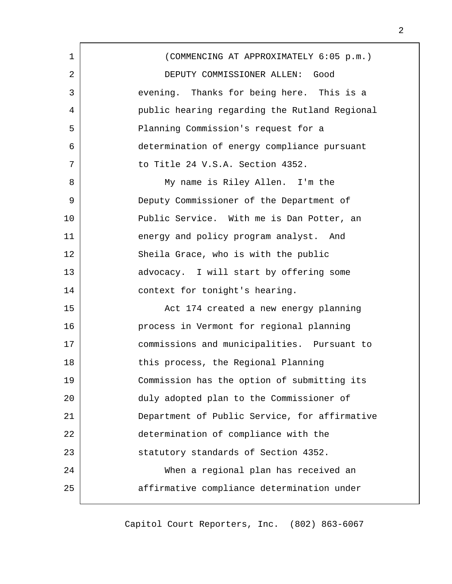| 1  | (COMMENCING AT APPROXIMATELY 6:05 p.m.)       |
|----|-----------------------------------------------|
| 2  | DEPUTY COMMISSIONER ALLEN: Good               |
| 3  | evening. Thanks for being here. This is a     |
| 4  | public hearing regarding the Rutland Regional |
| 5  | Planning Commission's request for a           |
| 6  | determination of energy compliance pursuant   |
| 7  | to Title 24 V.S.A. Section 4352.              |
| 8  | My name is Riley Allen. I'm the               |
| 9  | Deputy Commissioner of the Department of      |
| 10 | Public Service. With me is Dan Potter, an     |
| 11 | energy and policy program analyst. And        |
| 12 | Sheila Grace, who is with the public          |
| 13 | advocacy. I will start by offering some       |
| 14 | context for tonight's hearing.                |
| 15 | Act 174 created a new energy planning         |
| 16 | process in Vermont for regional planning      |
| 17 | commissions and municipalities. Pursuant to   |
| 18 | this process, the Regional Planning           |
| 19 | Commission has the option of submitting its   |
| 20 | duly adopted plan to the Commissioner of      |
| 21 | Department of Public Service, for affirmative |
| 22 | determination of compliance with the          |
| 23 | statutory standards of Section 4352.          |
| 24 | When a regional plan has received an          |
| 25 | affirmative compliance determination under    |
|    |                                               |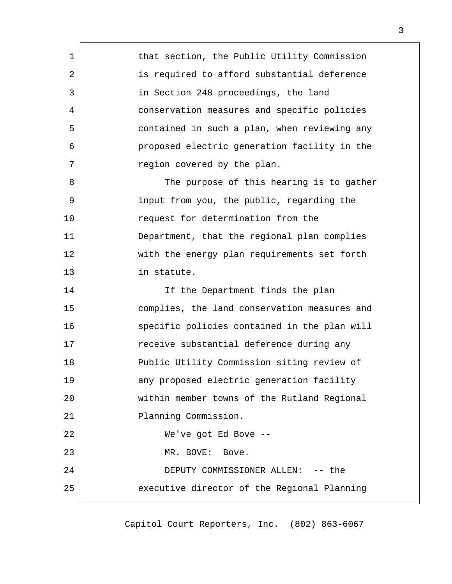| 1  | that section, the Public Utility Commission  |
|----|----------------------------------------------|
| 2  | is required to afford substantial deference  |
| 3  | in Section 248 proceedings, the land         |
| 4  | conservation measures and specific policies  |
| 5  | contained in such a plan, when reviewing any |
| 6  | proposed electric generation facility in the |
| 7  | region covered by the plan.                  |
| 8  | The purpose of this hearing is to gather     |
| 9  | input from you, the public, regarding the    |
| 10 | request for determination from the           |
| 11 | Department, that the regional plan complies  |
| 12 | with the energy plan requirements set forth  |
| 13 | in statute.                                  |
| 14 | If the Department finds the plan             |
| 15 | complies, the land conservation measures and |
| 16 | specific policies contained in the plan will |
| 17 | receive substantial deference during any     |
| 18 | Public Utility Commission siting review of   |
| 19 | any proposed electric generation facility    |
| 20 | within member towns of the Rutland Regional  |
| 21 | Planning Commission.                         |
| 22 | We've got Ed Bove --                         |
| 23 | MR. BOVE:<br>Bove.                           |
| 24 | DEPUTY COMMISSIONER ALLEN: -- the            |
| 25 | executive director of the Regional Planning  |
|    |                                              |

г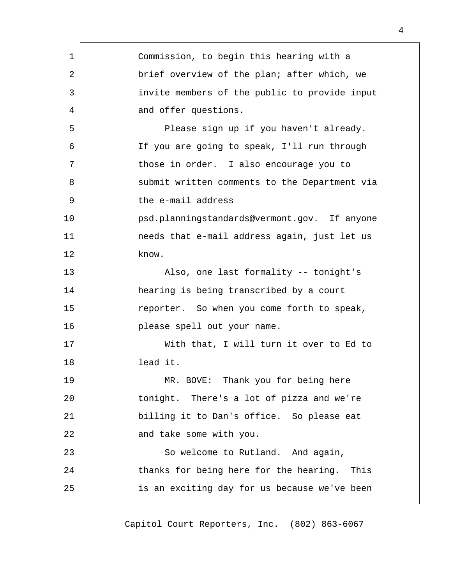| 1  | Commission, to begin this hearing with a      |
|----|-----------------------------------------------|
| 2  | brief overview of the plan; after which, we   |
| 3  | invite members of the public to provide input |
| 4  | and offer questions.                          |
| 5  | Please sign up if you haven't already.        |
| 6  | If you are going to speak, I'll run through   |
| 7  | those in order. I also encourage you to       |
| 8  | submit written comments to the Department via |
| 9  | the e-mail address                            |
| 10 | psd.planningstandards@vermont.gov. If anyone  |
| 11 | needs that e-mail address again, just let us  |
| 12 | know.                                         |
| 13 | Also, one last formality -- tonight's         |
| 14 | hearing is being transcribed by a court       |
| 15 | reporter. So when you come forth to speak,    |
| 16 | please spell out your name.                   |
| 17 | With that, I will turn it over to Ed to       |
| 18 | lead it.                                      |
| 19 | MR. BOVE: Thank you for being here            |
| 20 | tonight. There's a lot of pizza and we're     |
| 21 | billing it to Dan's office. So please eat     |
| 22 | and take some with you.                       |
| 23 | So welcome to Rutland. And again,             |
| 24 | thanks for being here for the hearing. This   |
| 25 | is an exciting day for us because we've been  |
|    |                                               |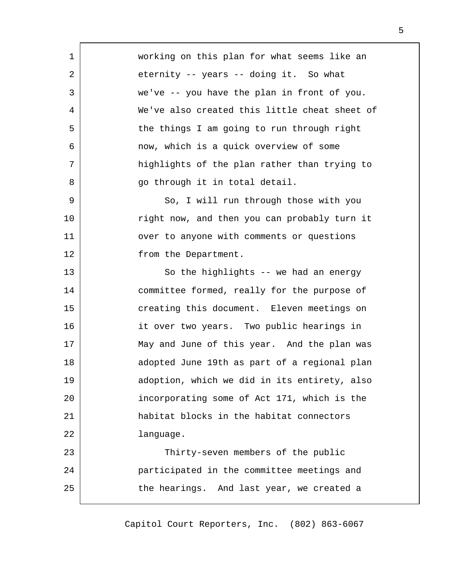working on this plan for what seems like an eternity -- years -- doing it. So what we've -- you have the plan in front of you. We've also created this little cheat sheet of the things I am going to run through right now, which is a quick overview of some highlights of the plan rather than trying to go through it in total detail.

1

2

3

4

5

6

7

8

25

So, I will run through those with you right now, and then you can probably turn it over to anyone with comments or questions from the Department. 9 10 11 12

So the highlights -- we had an energy committee formed, really for the purpose of creating this document. Eleven meetings on it over two years. Two public hearings in May and June of this year. And the plan was adopted June 19th as part of a regional plan adoption, which we did in its entirety, also incorporating some of Act 171, which is the habitat blocks in the habitat connectors language. Thirty-seven members of the public participated in the committee meetings and 13 14 15 16 17 18 19 20 21 22 23 24

the hearings. And last year, we created a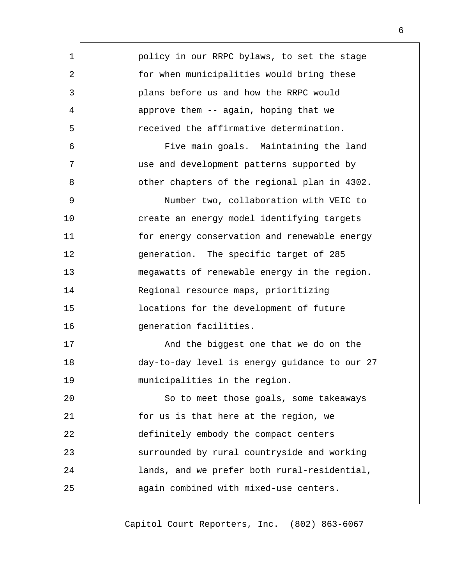| 1  | policy in our RRPC bylaws, to set the stage   |
|----|-----------------------------------------------|
| 2  | for when municipalities would bring these     |
| 3  | plans before us and how the RRPC would        |
| 4  | approve them -- again, hoping that we         |
| 5  | received the affirmative determination.       |
| 6  | Five main goals. Maintaining the land         |
| 7  | use and development patterns supported by     |
| 8  | other chapters of the regional plan in 4302.  |
| 9  | Number two, collaboration with VEIC to        |
| 10 | create an energy model identifying targets    |
| 11 | for energy conservation and renewable energy  |
| 12 | generation. The specific target of 285        |
| 13 | megawatts of renewable energy in the region.  |
| 14 | Regional resource maps, prioritizing          |
| 15 | locations for the development of future       |
| 16 | generation facilities.                        |
| 17 | And the biggest one that we do on the         |
| 18 | day-to-day level is energy guidance to our 27 |
| 19 | municipalities in the region.                 |
| 20 | So to meet those goals, some takeaways        |
| 21 | for us is that here at the region, we         |
| 22 | definitely embody the compact centers         |
| 23 | surrounded by rural countryside and working   |
| 24 | lands, and we prefer both rural-residential,  |
| 25 | again combined with mixed-use centers.        |
|    |                                               |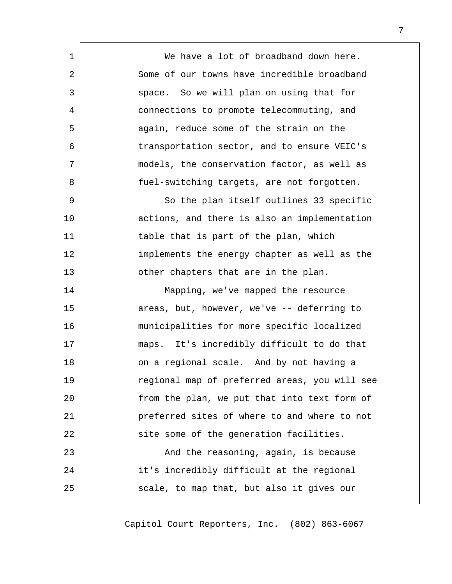We have a lot of broadband down here. Some of our towns have incredible broadband space. So we will plan on using that for connections to promote telecommuting, and again, reduce some of the strain on the transportation sector, and to ensure VEIC's models, the conservation factor, as well as fuel-switching targets, are not forgotten. So the plan itself outlines 33 specific actions, and there is also an implementation table that is part of the plan, which implements the energy chapter as well as the other chapters that are in the plan. Mapping, we've mapped the resource areas, but, however, we've -- deferring to municipalities for more specific localized maps. It's incredibly difficult to do that on a regional scale. And by not having a regional map of preferred areas, you will see from the plan, we put that into text form of preferred sites of where to and where to not site some of the generation facilities.

1

2

3

4

5

6

7

8

9

10

11

12

13

14

15

16

17

18

19

20

21

22

23

24

25

And the reasoning, again, is because it's incredibly difficult at the regional scale, to map that, but also it gives our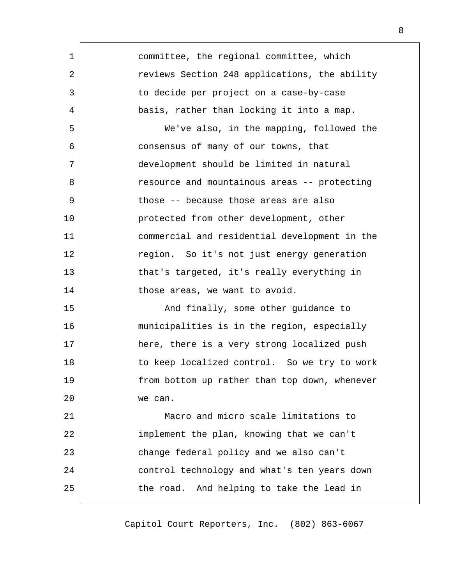| 1  | committee, the regional committee, which      |
|----|-----------------------------------------------|
| 2  | reviews Section 248 applications, the ability |
| 3  | to decide per project on a case-by-case       |
| 4  | basis, rather than locking it into a map.     |
| 5  | We've also, in the mapping, followed the      |
| 6  | consensus of many of our towns, that          |
| 7  | development should be limited in natural      |
| 8  | resource and mountainous areas -- protecting  |
| 9  | those -- because those areas are also         |
| 10 | protected from other development, other       |
| 11 | commercial and residential development in the |
| 12 | region. So it's not just energy generation    |
| 13 | that's targeted, it's really everything in    |
| 14 | those areas, we want to avoid.                |
| 15 | And finally, some other guidance to           |
| 16 | municipalities is in the region, especially   |
| 17 | here, there is a very strong localized push   |
| 18 | to keep localized control. So we try to work  |
| 19 | from bottom up rather than top down, whenever |
| 20 | we can.                                       |
| 21 | Macro and micro scale limitations to          |
| 22 | implement the plan, knowing that we can't     |
| 23 | change federal policy and we also can't       |
| 24 | control technology and what's ten years down  |
| 25 | the road. And helping to take the lead in     |
|    |                                               |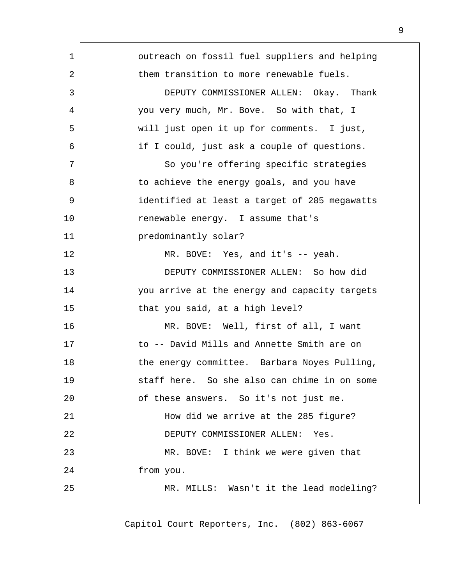| 1  | outreach on fossil fuel suppliers and helping |
|----|-----------------------------------------------|
| 2  | them transition to more renewable fuels.      |
| 3  | DEPUTY COMMISSIONER ALLEN: Okay. Thank        |
| 4  | you very much, Mr. Bove. So with that, I      |
| 5  | will just open it up for comments. I just,    |
| 6  | if I could, just ask a couple of questions.   |
| 7  | So you're offering specific strategies        |
| 8  | to achieve the energy goals, and you have     |
| 9  | identified at least a target of 285 megawatts |
| 10 | renewable energy. I assume that's             |
| 11 | predominantly solar?                          |
| 12 | MR. BOVE: Yes, and it's $-$ yeah.             |
| 13 | DEPUTY COMMISSIONER ALLEN: So how did         |
| 14 | you arrive at the energy and capacity targets |
| 15 | that you said, at a high level?               |
| 16 | MR. BOVE: Well, first of all, I want          |
| 17 | to -- David Mills and Annette Smith are on    |
| 18 | the energy committee. Barbara Noyes Pulling,  |
| 19 | staff here. So she also can chime in on some  |
| 20 | of these answers. So it's not just me.        |
| 21 | How did we arrive at the 285 figure?          |
| 22 | DEPUTY COMMISSIONER ALLEN:<br>Yes.            |
| 23 | MR. BOVE: I think we were given that          |
| 24 | from you.                                     |
| 25 | MR. MILLS: Wasn't it the lead modeling?       |
|    |                                               |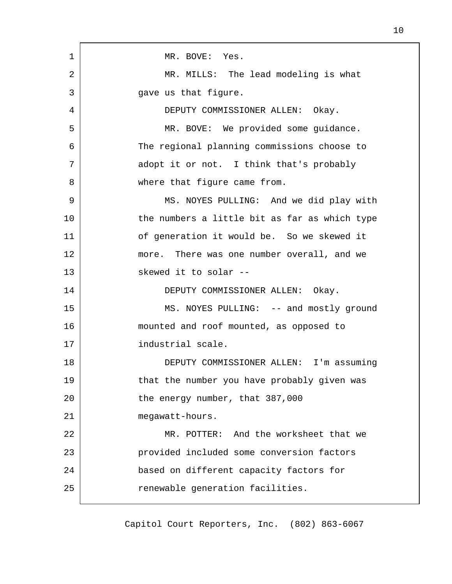| 1  | MR. BOVE: Yes.                                |
|----|-----------------------------------------------|
| 2  | MR. MILLS: The lead modeling is what          |
| 3  | gave us that figure.                          |
| 4  | DEPUTY COMMISSIONER ALLEN: Okay.              |
| 5  | MR. BOVE: We provided some guidance.          |
| 6  | The regional planning commissions choose to   |
| 7  | adopt it or not. I think that's probably      |
| 8  | where that figure came from.                  |
| 9  | MS. NOYES PULLING: And we did play with       |
| 10 | the numbers a little bit as far as which type |
| 11 | of generation it would be. So we skewed it    |
| 12 | more. There was one number overall, and we    |
| 13 | skewed it to solar --                         |
| 14 | DEPUTY COMMISSIONER ALLEN: Okay.              |
| 15 | MS. NOYES PULLING: -- and mostly ground       |
| 16 | mounted and roof mounted, as opposed to       |
| 17 | industrial scale.                             |
| 18 | DEPUTY COMMISSIONER ALLEN: I'm assuming       |
| 19 | that the number you have probably given was   |
| 20 | the energy number, that 387,000               |
| 21 | megawatt-hours.                               |
| 22 | MR. POTTER: And the worksheet that we         |
| 23 | provided included some conversion factors     |
| 24 | based on different capacity factors for       |
| 25 | renewable generation facilities.              |
|    |                                               |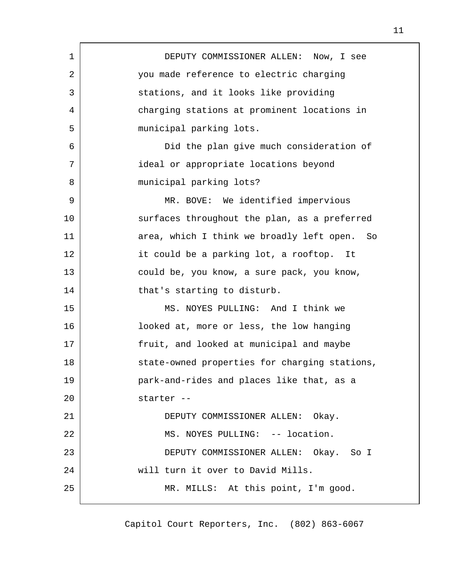| 1  | DEPUTY COMMISSIONER ALLEN: Now, I see             |
|----|---------------------------------------------------|
| 2  | you made reference to electric charging           |
| 3  | stations, and it looks like providing             |
| 4  | charging stations at prominent locations in       |
| 5  | municipal parking lots.                           |
| 6  | Did the plan give much consideration of           |
| 7  | ideal or appropriate locations beyond             |
| 8  | municipal parking lots?                           |
| 9  | MR. BOVE: We identified impervious                |
| 10 | surfaces throughout the plan, as a preferred      |
| 11 | area, which I think we broadly left open.<br>- So |
| 12 | it could be a parking lot, a rooftop. It          |
| 13 | could be, you know, a sure pack, you know,        |
| 14 | that's starting to disturb.                       |
| 15 | MS. NOYES PULLING: And I think we                 |
| 16 | looked at, more or less, the low hanging          |
| 17 | fruit, and looked at municipal and maybe          |
| 18 | state-owned properties for charging stations,     |
| 19 | park-and-rides and places like that, as a         |
| 20 | starter --                                        |
| 21 | DEPUTY COMMISSIONER ALLEN: Okay.                  |
| 22 | MS. NOYES PULLING: -- location.                   |
| 23 | DEPUTY COMMISSIONER ALLEN: Okay. So I             |
| 24 | will turn it over to David Mills.                 |
| 25 | MR. MILLS: At this point, I'm good.               |
|    |                                                   |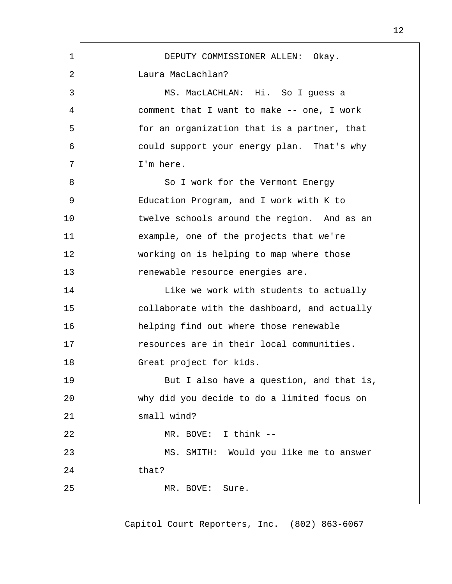| 1  | DEPUTY COMMISSIONER ALLEN: Okay.             |
|----|----------------------------------------------|
| 2  | Laura MacLachlan?                            |
| 3  | MS. MacLACHLAN: Hi. So I guess a             |
| 4  | comment that I want to make -- one, I work   |
| 5  | for an organization that is a partner, that  |
| 6  | could support your energy plan. That's why   |
| 7  | I'm here.                                    |
| 8  | So I work for the Vermont Energy             |
| 9  | Education Program, and I work with K to      |
| 10 | twelve schools around the region. And as an  |
| 11 | example, one of the projects that we're      |
| 12 | working on is helping to map where those     |
| 13 | renewable resource energies are.             |
| 14 | Like we work with students to actually       |
| 15 | collaborate with the dashboard, and actually |
| 16 | helping find out where those renewable       |
| 17 | resources are in their local communities.    |
| 18 | Great project for kids.                      |
| 19 | But I also have a question, and that is,     |
| 20 | why did you decide to do a limited focus on  |
| 21 | small wind?                                  |
| 22 | MR. BOVE: I think --                         |
| 23 | MS. SMITH: Would you like me to answer       |
| 24 | that?                                        |
| 25 | MR. BOVE:<br>Sure.                           |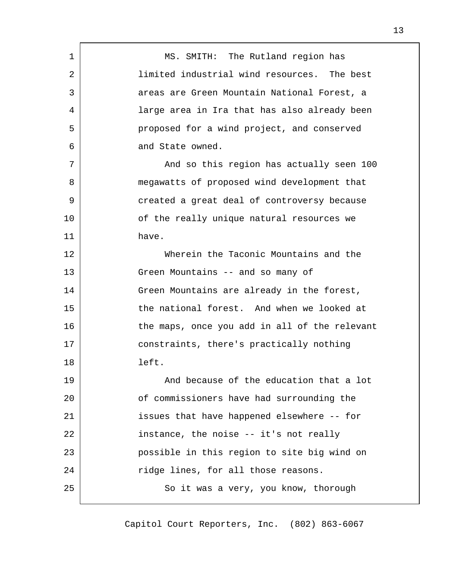| $\mathbf 1$ | MS. SMITH: The Rutland region has             |
|-------------|-----------------------------------------------|
| 2           | limited industrial wind resources. The best   |
| 3           | areas are Green Mountain National Forest, a   |
| 4           | large area in Ira that has also already been  |
| 5           | proposed for a wind project, and conserved    |
| 6           | and State owned.                              |
| 7           | And so this region has actually seen 100      |
| 8           | megawatts of proposed wind development that   |
| 9           | created a great deal of controversy because   |
| 10          | of the really unique natural resources we     |
| 11          | have.                                         |
| 12          | Wherein the Taconic Mountains and the         |
| 13          | Green Mountains -- and so many of             |
| 14          | Green Mountains are already in the forest,    |
| 15          | the national forest. And when we looked at    |
| 16          | the maps, once you add in all of the relevant |
| 17          | constraints, there's practically nothing      |
| 18          | left.                                         |
| 19          | And because of the education that a lot       |
| 20          | of commissioners have had surrounding the     |
| 21          | issues that have happened elsewhere -- for    |
| 22          | instance, the noise -- it's not really        |
| 23          | possible in this region to site big wind on   |
| 24          | ridge lines, for all those reasons.           |
| 25          | So it was a very, you know, thorough          |
|             |                                               |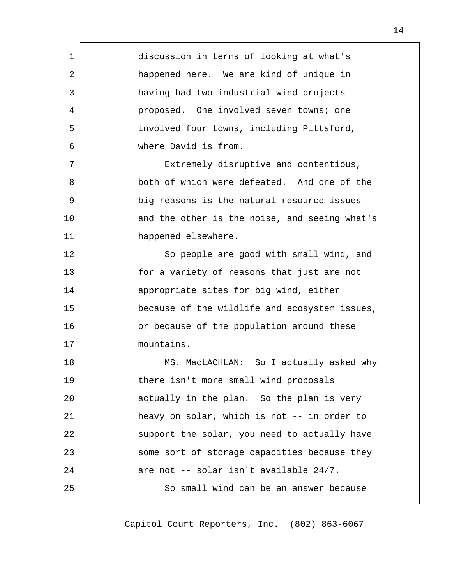| 1  | discussion in terms of looking at what's      |
|----|-----------------------------------------------|
| 2  | happened here. We are kind of unique in       |
| 3  | having had two industrial wind projects       |
| 4  | proposed. One involved seven towns; one       |
| 5  | involved four towns, including Pittsford,     |
| 6  | where David is from.                          |
| 7  | Extremely disruptive and contentious,         |
| 8  | both of which were defeated. And one of the   |
| 9  | big reasons is the natural resource issues    |
| 10 | and the other is the noise, and seeing what's |
| 11 | happened elsewhere.                           |
| 12 | So people are good with small wind, and       |
| 13 | for a variety of reasons that just are not    |
| 14 | appropriate sites for big wind, either        |
| 15 | because of the wildlife and ecosystem issues, |
| 16 | or because of the population around these     |
| 17 | mountains.                                    |
| 18 | MS. MacLACHLAN: So I actually asked why       |
| 19 | there isn't more small wind proposals         |
| 20 | actually in the plan. So the plan is very     |
| 21 | heavy on solar, which is not -- in order to   |
| 22 | support the solar, you need to actually have  |
| 23 | some sort of storage capacities because they  |
| 24 | are not -- solar isn't available 24/7.        |
| 25 | So small wind can be an answer because        |
|    |                                               |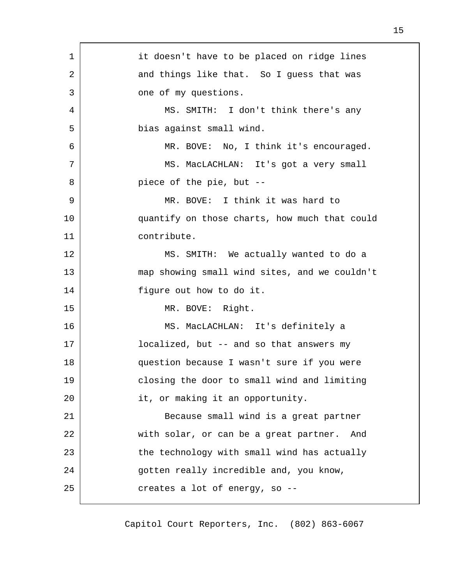| 1  | it doesn't have to be placed on ridge lines   |
|----|-----------------------------------------------|
| 2  | and things like that. So I guess that was     |
| 3  | one of my questions.                          |
| 4  | MS. SMITH: I don't think there's any          |
| 5  | bias against small wind.                      |
| 6  | MR. BOVE: No, I think it's encouraged.        |
| 7  | MS. MacLACHLAN: It's got a very small         |
| 8  | piece of the pie, but --                      |
| 9  | MR. BOVE: I think it was hard to              |
| 10 | quantify on those charts, how much that could |
| 11 | contribute.                                   |
| 12 | MS. SMITH: We actually wanted to do a         |
| 13 | map showing small wind sites, and we couldn't |
| 14 | figure out how to do it.                      |
| 15 | MR. BOVE: Right.                              |
| 16 | MS. MacLACHLAN: It's definitely a             |
| 17 | localized, but -- and so that answers my      |
| 18 | question because I wasn't sure if you were    |
| 19 | closing the door to small wind and limiting   |
| 20 | it, or making it an opportunity.              |
| 21 | Because small wind is a great partner         |
| 22 | with solar, or can be a great partner.<br>And |
| 23 | the technology with small wind has actually   |
| 24 | gotten really incredible and, you know,       |
| 25 | creates a lot of energy, so --                |
|    |                                               |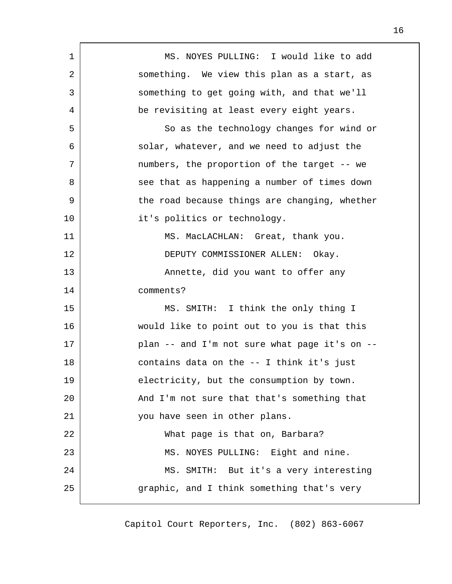| $\mathbf 1$ | MS. NOYES PULLING: I would like to add        |
|-------------|-----------------------------------------------|
| 2           | something. We view this plan as a start, as   |
| 3           | something to get going with, and that we'll   |
| 4           | be revisiting at least every eight years.     |
| 5           | So as the technology changes for wind or      |
| 6           | solar, whatever, and we need to adjust the    |
| 7           | numbers, the proportion of the target -- we   |
| 8           | see that as happening a number of times down  |
| 9           | the road because things are changing, whether |
| 10          | it's politics or technology.                  |
| 11          | MS. MacLACHLAN: Great, thank you.             |
| 12          | DEPUTY COMMISSIONER ALLEN: Okay.              |
| 13          | Annette, did you want to offer any            |
| 14          | comments?                                     |
| 15          | MS. SMITH: I think the only thing I           |
| 16          | would like to point out to you is that this   |
| 17          | plan -- and I'm not sure what page it's on -- |
| 18          | contains data on the -- I think it's just     |
| 19          | electricity, but the consumption by town.     |
| 20          | And I'm not sure that that's something that   |
| 21          | you have seen in other plans.                 |
| 22          | What page is that on, Barbara?                |
| 23          | MS. NOYES PULLING: Eight and nine.            |
| 24          | MS. SMITH: But it's a very interesting        |
| 25          | graphic, and I think something that's very    |
|             |                                               |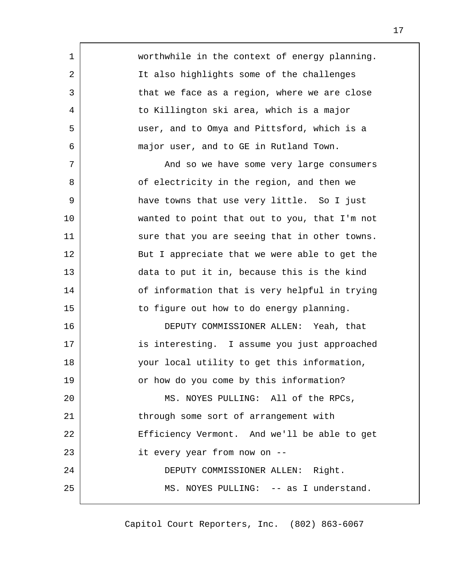worthwhile in the context of energy planning. It also highlights some of the challenges that we face as a region, where we are close to Killington ski area, which is a major user, and to Omya and Pittsford, which is a major user, and to GE in Rutland Town. And so we have some very large consumers of electricity in the region, and then we have towns that use very little. So I just wanted to point that out to you, that I'm not sure that you are seeing that in other towns. But I appreciate that we were able to get the data to put it in, because this is the kind of information that is very helpful in trying to figure out how to do energy planning. DEPUTY COMMISSIONER ALLEN: Yeah, that is interesting. I assume you just approached your local utility to get this information, or how do you come by this information? MS. NOYES PULLING: All of the RPCs, through some sort of arrangement with Efficiency Vermont. And we'll be able to get it every year from now on -- DEPUTY COMMISSIONER ALLEN: Right. MS. NOYES PULLING: -- as I understand. 1 2 3 4 5 6 7 8 9 10 11 12 13 14 15 16 17 18 19 20 21 22 23 24 25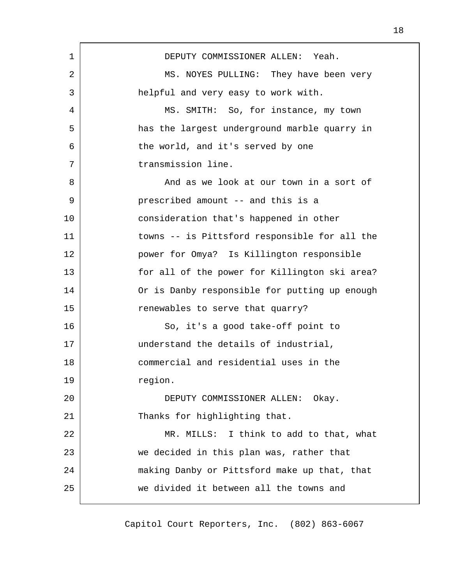| 1  | DEPUTY COMMISSIONER ALLEN: Yeah.              |
|----|-----------------------------------------------|
| 2  | MS. NOYES PULLING: They have been very        |
| 3  | helpful and very easy to work with.           |
| 4  | MS. SMITH: So, for instance, my town          |
| 5  | has the largest underground marble quarry in  |
| 6  | the world, and it's served by one             |
| 7  | transmission line.                            |
| 8  | And as we look at our town in a sort of       |
| 9  | prescribed amount -- and this is a            |
| 10 | consideration that's happened in other        |
| 11 | towns -- is Pittsford responsible for all the |
| 12 | power for Omya? Is Killington responsible     |
| 13 | for all of the power for Killington ski area? |
| 14 | Or is Danby responsible for putting up enough |
| 15 | renewables to serve that quarry?              |
| 16 | So, it's a good take-off point to             |
| 17 | understand the details of industrial,         |
| 18 | commercial and residential uses in the        |
| 19 | region.                                       |
| 20 | DEPUTY COMMISSIONER ALLEN: Okay.              |
| 21 | Thanks for highlighting that.                 |
| 22 | MR. MILLS: I think to add to that, what       |
| 23 | we decided in this plan was, rather that      |
| 24 | making Danby or Pittsford make up that, that  |
| 25 | we divided it between all the towns and       |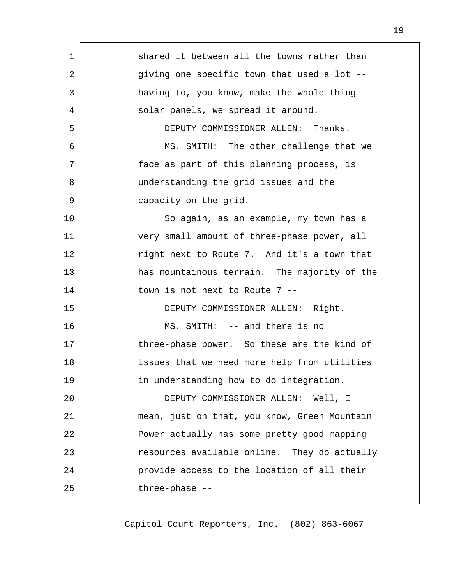| 1  | shared it between all the towns rather than  |
|----|----------------------------------------------|
| 2  | giving one specific town that used a lot --  |
| 3  | having to, you know, make the whole thing    |
| 4  | solar panels, we spread it around.           |
| 5  | DEPUTY COMMISSIONER ALLEN: Thanks.           |
| 6  | MS. SMITH: The other challenge that we       |
| 7  | face as part of this planning process, is    |
| 8  | understanding the grid issues and the        |
| 9  | capacity on the grid.                        |
| 10 | So again, as an example, my town has a       |
| 11 | very small amount of three-phase power, all  |
| 12 | right next to Route 7. And it's a town that  |
| 13 | has mountainous terrain. The majority of the |
| 14 | town is not next to Route 7 --               |
| 15 | DEPUTY COMMISSIONER ALLEN: Right.            |
| 16 | MS. SMITH: -- and there is no                |
| 17 | three-phase power. So these are the kind of  |
| 18 | issues that we need more help from utilities |
| 19 | in understanding how to do integration.      |
| 20 | DEPUTY COMMISSIONER ALLEN: Well, I           |
| 21 | mean, just on that, you know, Green Mountain |
| 22 | Power actually has some pretty good mapping  |
| 23 | resources available online. They do actually |
| 24 | provide access to the location of all their  |
| 25 | three-phase --                               |
|    |                                              |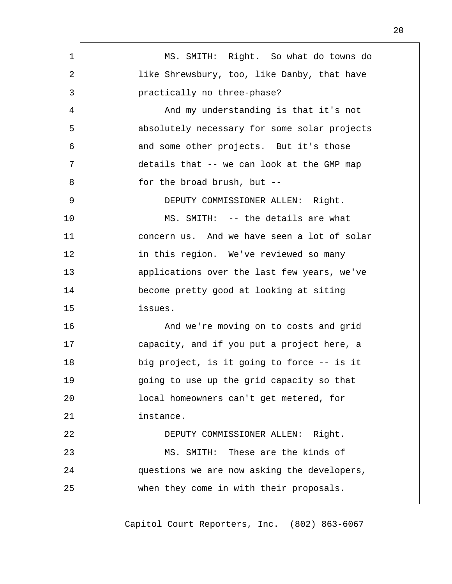| 1  | MS. SMITH: Right. So what do towns do        |
|----|----------------------------------------------|
| 2  | like Shrewsbury, too, like Danby, that have  |
| 3  | practically no three-phase?                  |
| 4  | And my understanding is that it's not        |
| 5  | absolutely necessary for some solar projects |
| 6  | and some other projects. But it's those      |
| 7  | details that -- we can look at the GMP map   |
| 8  | for the broad brush, but --                  |
| 9  | DEPUTY COMMISSIONER ALLEN: Right.            |
| 10 | MS. SMITH: -- the details are what           |
| 11 | concern us. And we have seen a lot of solar  |
| 12 | in this region. We've reviewed so many       |
| 13 | applications over the last few years, we've  |
| 14 | become pretty good at looking at siting      |
| 15 | issues.                                      |
| 16 | And we're moving on to costs and grid        |
| 17 | capacity, and if you put a project here, a   |
| 18 | big project, is it going to force -- is it   |
| 19 | going to use up the grid capacity so that    |
| 20 | local homeowners can't get metered, for      |
| 21 | instance.                                    |
| 22 | DEPUTY COMMISSIONER ALLEN: Right.            |
| 23 | MS. SMITH: These are the kinds of            |
| 24 | questions we are now asking the developers,  |
| 25 | when they come in with their proposals.      |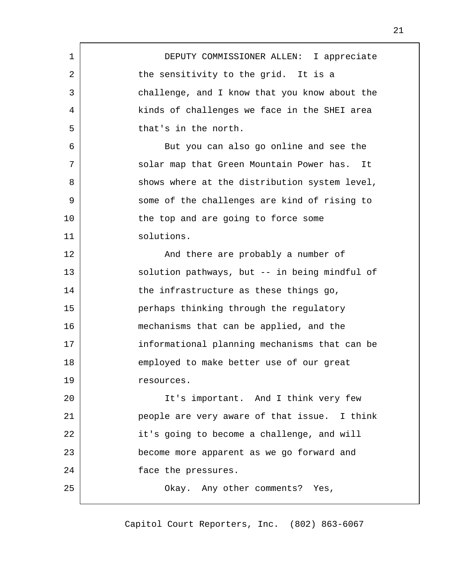| 1  | DEPUTY COMMISSIONER ALLEN: I appreciate        |
|----|------------------------------------------------|
| 2  | the sensitivity to the grid. It is a           |
| 3  | challenge, and I know that you know about the  |
| 4  | kinds of challenges we face in the SHEI area   |
| 5  | that's in the north.                           |
| 6  | But you can also go online and see the         |
| 7  | solar map that Green Mountain Power has.<br>It |
| 8  | shows where at the distribution system level,  |
| 9  | some of the challenges are kind of rising to   |
| 10 | the top and are going to force some            |
| 11 | solutions.                                     |
| 12 | And there are probably a number of             |
| 13 | solution pathways, but -- in being mindful of  |
| 14 | the infrastructure as these things go,         |
| 15 | perhaps thinking through the regulatory        |
| 16 | mechanisms that can be applied, and the        |
| 17 | informational planning mechanisms that can be  |
| 18 | employed to make better use of our great       |
| 19 | resources.                                     |
| 20 | It's important. And I think very few           |
| 21 | people are very aware of that issue. I think   |
| 22 | it's going to become a challenge, and will     |
| 23 | become more apparent as we go forward and      |
| 24 | face the pressures.                            |
| 25 | Okay. Any other comments? Yes,                 |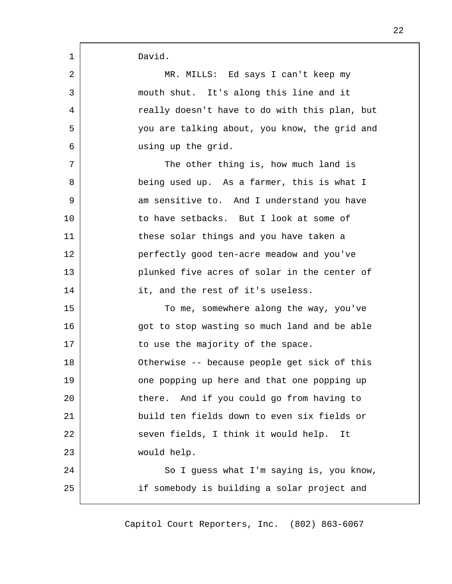| 1  | David.                                        |
|----|-----------------------------------------------|
| 2  | MR. MILLS: Ed says I can't keep my            |
| 3  | mouth shut. It's along this line and it       |
| 4  | really doesn't have to do with this plan, but |
| 5  | you are talking about, you know, the grid and |
| 6  | using up the grid.                            |
| 7  | The other thing is, how much land is          |
| 8  | being used up. As a farmer, this is what I    |
| 9  | am sensitive to. And I understand you have    |
| 10 | to have setbacks. But I look at some of       |
| 11 | these solar things and you have taken a       |
| 12 | perfectly good ten-acre meadow and you've     |
| 13 | plunked five acres of solar in the center of  |
| 14 | it, and the rest of it's useless.             |
| 15 | To me, somewhere along the way, you've        |
| 16 | got to stop wasting so much land and be able  |
| 17 | to use the majority of the space.             |
| 18 | Otherwise -- because people get sick of this  |
| 19 | one popping up here and that one popping up   |
| 20 | And if you could go from having to<br>there.  |
| 21 | build ten fields down to even six fields or   |
| 22 | seven fields, I think it would help.<br>It    |
| 23 | would help.                                   |
| 24 | So I guess what I'm saying is, you know,      |
| 25 | if somebody is building a solar project and   |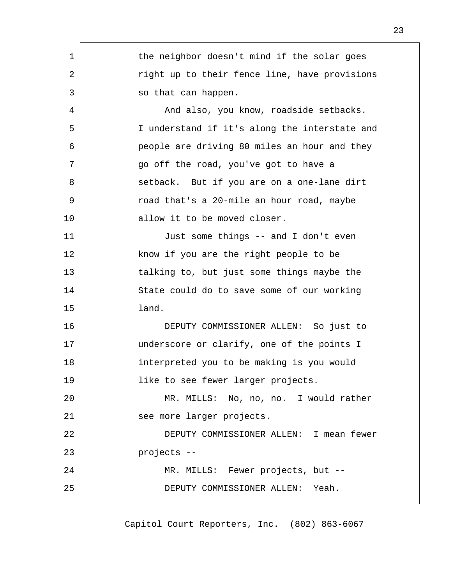| 1  | the neighbor doesn't mind if the solar goes   |
|----|-----------------------------------------------|
| 2  | right up to their fence line, have provisions |
| 3  | so that can happen.                           |
| 4  | And also, you know, roadside setbacks.        |
| 5  | I understand if it's along the interstate and |
| 6  | people are driving 80 miles an hour and they  |
| 7  | go off the road, you've got to have a         |
| 8  | setback. But if you are on a one-lane dirt    |
| 9  | road that's a 20-mile an hour road, maybe     |
| 10 | allow it to be moved closer.                  |
| 11 | Just some things -- and I don't even          |
| 12 | know if you are the right people to be        |
| 13 | talking to, but just some things maybe the    |
| 14 | State could do to save some of our working    |
| 15 | land.                                         |
| 16 | DEPUTY COMMISSIONER ALLEN: So just to         |
| 17 | underscore or clarify, one of the points I    |
| 18 | interpreted you to be making is you would     |
| 19 | like to see fewer larger projects.            |
| 20 | MR. MILLS: No, no, no. I would rather         |
| 21 | see more larger projects.                     |
| 22 | DEPUTY COMMISSIONER ALLEN: I mean fewer       |
| 23 | projects --                                   |
| 24 | MR. MILLS: Fewer projects, but --             |
| 25 | DEPUTY COMMISSIONER ALLEN: Yeah.              |
|    |                                               |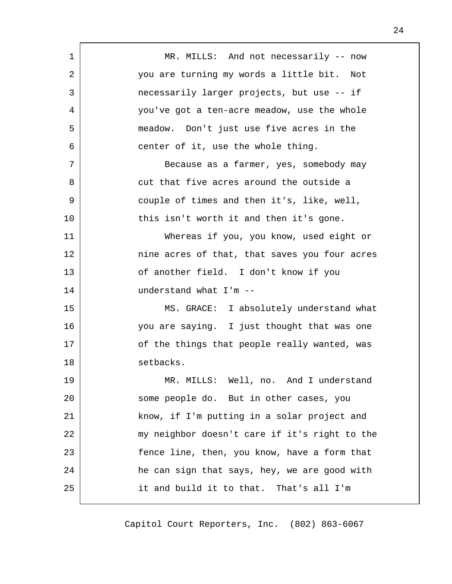| $\mathbf 1$ | MR. MILLS: And not necessarily -- now         |
|-------------|-----------------------------------------------|
| 2           | you are turning my words a little bit. Not    |
| 3           | necessarily larger projects, but use -- if    |
| 4           | you've got a ten-acre meadow, use the whole   |
| 5           | meadow. Don't just use five acres in the      |
| 6           | center of it, use the whole thing.            |
| 7           | Because as a farmer, yes, somebody may        |
| 8           | cut that five acres around the outside a      |
| 9           | couple of times and then it's, like, well,    |
| 10          | this isn't worth it and then it's gone.       |
| 11          | Whereas if you, you know, used eight or       |
| 12          | nine acres of that, that saves you four acres |
| 13          | of another field. I don't know if you         |
| 14          | understand what I'm --                        |
| 15          | MS. GRACE: I absolutely understand what       |
| 16          | you are saying. I just thought that was one   |
| 17          | of the things that people really wanted, was  |
| 18          | setbacks.                                     |
| 19          | MR. MILLS: Well, no. And I understand         |
| 20          | some people do. But in other cases, you       |
| 21          | know, if I'm putting in a solar project and   |
| 22          | my neighbor doesn't care if it's right to the |
| 23          | fence line, then, you know, have a form that  |
| 24          | he can sign that says, hey, we are good with  |
| 25          | it and build it to that. That's all I'm       |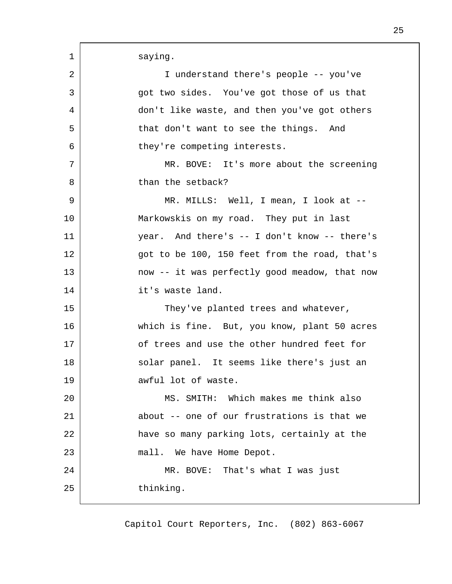| 1  | saying.                                       |
|----|-----------------------------------------------|
| 2  | I understand there's people -- you've         |
| 3  | got two sides. You've got those of us that    |
| 4  | don't like waste, and then you've got others  |
| 5  | that don't want to see the things. And        |
| 6  | they're competing interests.                  |
| 7  | MR. BOVE: It's more about the screening       |
| 8  | than the setback?                             |
| 9  | MR. MILLS: Well, I mean, I look at --         |
| 10 | Markowskis on my road. They put in last       |
| 11 | year. And there's -- I don't know -- there's  |
| 12 | got to be 100, 150 feet from the road, that's |
| 13 | now -- it was perfectly good meadow, that now |
| 14 | it's waste land.                              |
| 15 | They've planted trees and whatever,           |
| 16 | which is fine. But, you know, plant 50 acres  |
| 17 | of trees and use the other hundred feet for   |
| 18 | solar panel. It seems like there's just an    |
| 19 | awful lot of waste.                           |
| 20 | MS. SMITH: Which makes me think also          |
| 21 | about -- one of our frustrations is that we   |
| 22 | have so many parking lots, certainly at the   |
| 23 | mall. We have Home Depot.                     |
| 24 | MR. BOVE: That's what I was just              |
| 25 | thinking.                                     |
|    |                                               |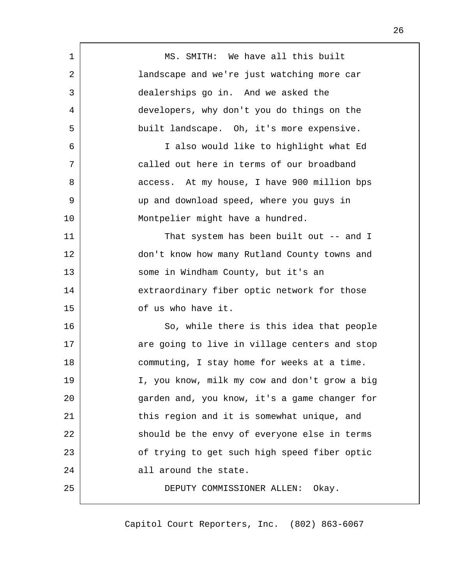| 1  | MS. SMITH: We have all this built             |
|----|-----------------------------------------------|
| 2  | landscape and we're just watching more car    |
| 3  | dealerships go in. And we asked the           |
| 4  | developers, why don't you do things on the    |
| 5  | built landscape. Oh, it's more expensive.     |
| 6  | I also would like to highlight what Ed        |
| 7  | called out here in terms of our broadband     |
| 8  | access. At my house, I have 900 million bps   |
| 9  | up and download speed, where you guys in      |
| 10 | Montpelier might have a hundred.              |
| 11 | That system has been built out -- and I       |
| 12 | don't know how many Rutland County towns and  |
| 13 | some in Windham County, but it's an           |
| 14 | extraordinary fiber optic network for those   |
| 15 | of us who have it.                            |
| 16 | So, while there is this idea that people      |
| 17 | are going to live in village centers and stop |
| 18 | commuting, I stay home for weeks at a time.   |
| 19 | I, you know, milk my cow and don't grow a big |
| 20 | garden and, you know, it's a game changer for |
| 21 | this region and it is somewhat unique, and    |
| 22 | should be the envy of everyone else in terms  |
| 23 | of trying to get such high speed fiber optic  |
| 24 | all around the state.                         |
| 25 | DEPUTY COMMISSIONER ALLEN:<br>Okay.           |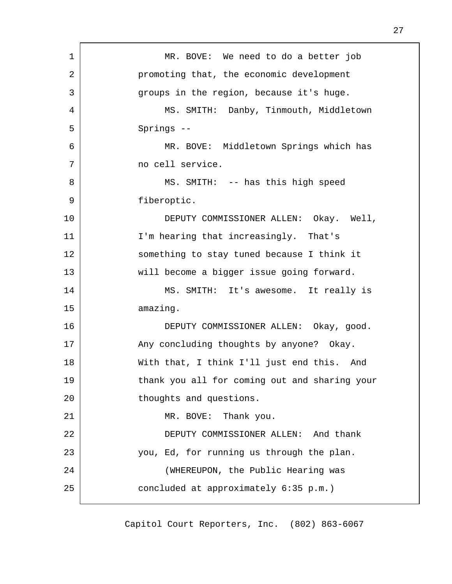| 1  | MR. BOVE: We need to do a better job          |
|----|-----------------------------------------------|
| 2  | promoting that, the economic development      |
| 3  | groups in the region, because it's huge.      |
| 4  | MS. SMITH: Danby, Tinmouth, Middletown        |
| 5  | Springs --                                    |
| 6  | MR. BOVE: Middletown Springs which has        |
| 7  | no cell service.                              |
| 8  | MS. SMITH: -- has this high speed             |
| 9  | fiberoptic.                                   |
| 10 | DEPUTY COMMISSIONER ALLEN: Okay. Well,        |
| 11 | I'm hearing that increasingly. That's         |
| 12 | something to stay tuned because I think it    |
| 13 | will become a bigger issue going forward.     |
| 14 | MS. SMITH: It's awesome. It really is         |
| 15 | amazing.                                      |
| 16 | DEPUTY COMMISSIONER ALLEN: Okay, good.        |
| 17 | Any concluding thoughts by anyone? Okay.      |
| 18 | With that, I think I'll just end this. And    |
| 19 | thank you all for coming out and sharing your |
| 20 | thoughts and questions.                       |
| 21 | MR. BOVE: Thank you.                          |
| 22 | DEPUTY COMMISSIONER ALLEN: And thank          |
| 23 | you, Ed, for running us through the plan.     |
| 24 | (WHEREUPON, the Public Hearing was            |
| 25 | concluded at approximately 6:35 p.m.)         |
|    |                                               |